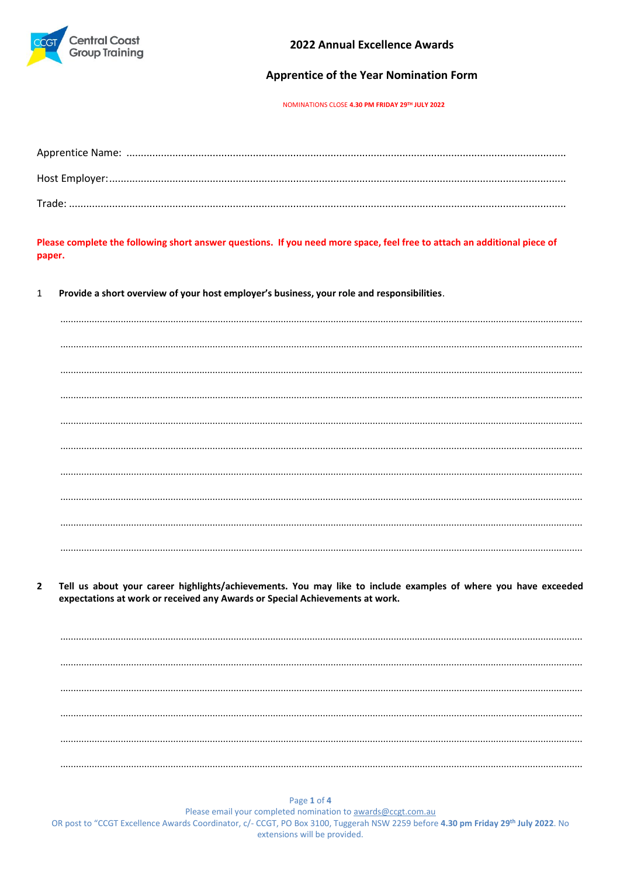

2022 Annual Excellence Awards

### **Apprentice of the Year Nomination Form**

NOMINATIONS CLOSE 4.30 PM FRIDAY 29TH JULY 2022

Please complete the following short answer questions. If you need more space, feel free to attach an additional piece of paper.

Provide a short overview of your host employer's business, your role and responsibilities.  $\mathbf{1}$ 

Tell us about your career highlights/achievements. You may like to include examples of where you have exceeded  $\overline{\phantom{a}}$ expectations at work or received any Awards or Special Achievements at work.

Page 1 of 4 Please email your completed nomination to awards@ccgt.com.au OR post to "CCGT Excellence Awards Coordinator, c/- CCGT, PO Box 3100, Tuggerah NSW 2259 before 4.30 pm Friday 29th July 2022. No extensions will be provided.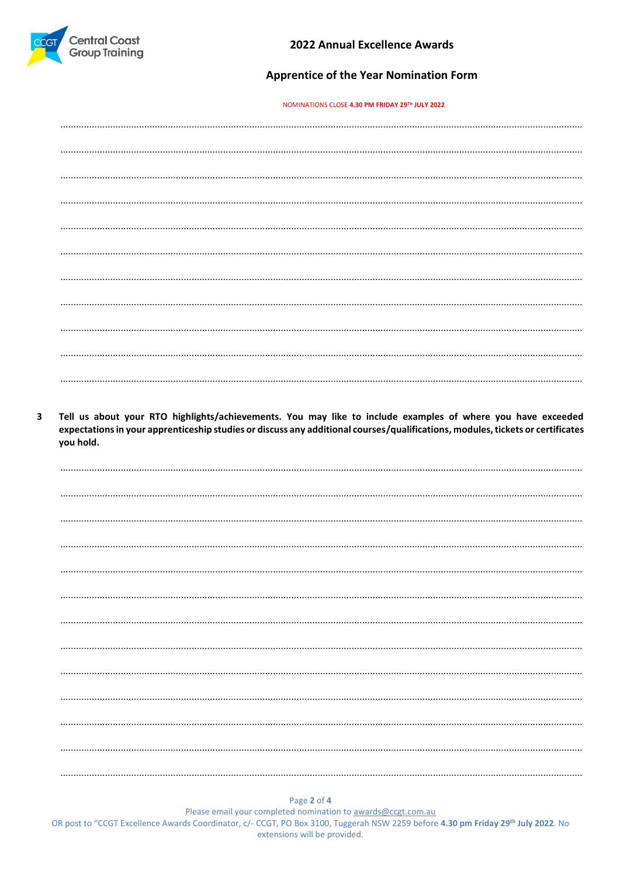

## **Apprentice of the Year Nomination Form**

#### NOMINATIONS CLOSE 4.30 PM FRIDAY 29TH JULY 2022

 $\overline{\mathbf{3}}$ Tell us about your RTO highlights/achievements. You may like to include examples of where you have exceeded expectations in your apprenticeship studies or discuss any additional courses/qualifications, modules, tickets or certificates you hold.

Page 2 of 4

Please email your completed nomination to awards@ccgt.com.au OR post to "CCGT Excellence Awards Coordinator, c/- CCGT, PO Box 3100, Tuggerah NSW 2259 before 4.30 pm Friday 29th July 2022. No extensions will be provided.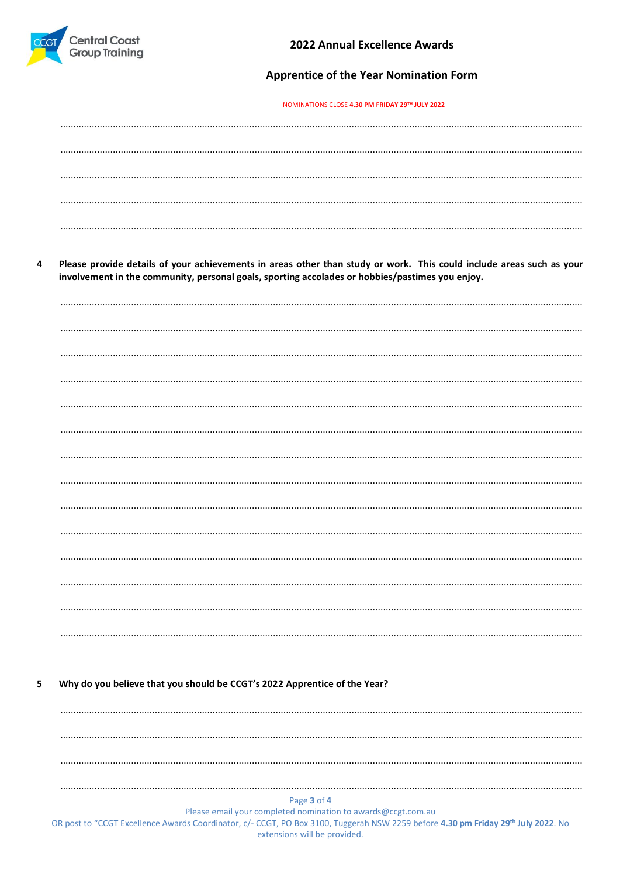

4

## **Apprentice of the Year Nomination Form**

#### NOMINATIONS CLOSE 4.30 PM FRIDAY 29TH JULY 2022

| Please provide details of your achievements in areas other than study or work. This could include areas such as your |  |  |
|----------------------------------------------------------------------------------------------------------------------|--|--|
| involvement in the community, personal goals, sporting accolades or hobbies/pastimes you enjoy.                      |  |  |
|                                                                                                                      |  |  |
|                                                                                                                      |  |  |
|                                                                                                                      |  |  |
|                                                                                                                      |  |  |
|                                                                                                                      |  |  |
|                                                                                                                      |  |  |
|                                                                                                                      |  |  |
|                                                                                                                      |  |  |
|                                                                                                                      |  |  |
|                                                                                                                      |  |  |
|                                                                                                                      |  |  |
|                                                                                                                      |  |  |
|                                                                                                                      |  |  |
|                                                                                                                      |  |  |
|                                                                                                                      |  |  |
|                                                                                                                      |  |  |
|                                                                                                                      |  |  |

Why do you believe that you should be CCGT's 2022 Apprentice of the Year? 5

Please email your completed nomination to awards@ccgt.com.au

OR post to "CCGT Excellence Awards Coordinator, c/- CCGT, PO Box 3100, Tuggerah NSW 2259 before 4.30 pm Friday 29th July 2022. No extensions will be provided.